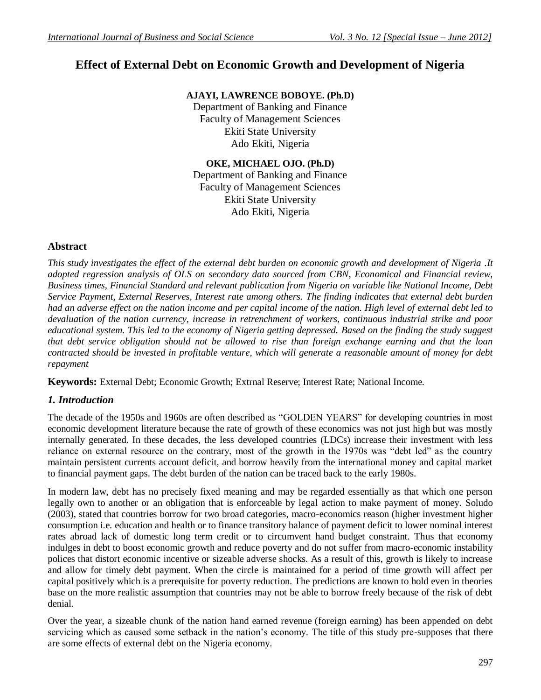# **Effect of External Debt on Economic Growth and Development of Nigeria**

**AJAYI, LAWRENCE BOBOYE. (Ph.D)**

Department of Banking and Finance Faculty of Management Sciences Ekiti State University Ado Ekiti, Nigeria

## **OKE, MICHAEL OJO. (Ph.D)**

Department of Banking and Finance Faculty of Management Sciences Ekiti State University Ado Ekiti, Nigeria

# **Abstract**

*This study investigates the effect of the external debt burden on economic growth and development of Nigeria .It adopted regression analysis of OLS on secondary data sourced from CBN, Economical and Financial review, Business times, Financial Standard and relevant publication from Nigeria on variable like National Income, Debt Service Payment, External Reserves, Interest rate among others. The finding indicates that external debt burden had an adverse effect on the nation income and per capital income of the nation. High level of external debt led to devaluation of the nation currency, increase in retrenchment of workers, continuous industrial strike and poor educational system. This led to the economy of Nigeria getting depressed. Based on the finding the study suggest that debt service obligation should not be allowed to rise than foreign exchange earning and that the loan contracted should be invested in profitable venture, which will generate a reasonable amount of money for debt repayment*

**Keywords:** External Debt; Economic Growth; Extrnal Reserve; Interest Rate; National Income.

# *1. Introduction*

The decade of the 1950s and 1960s are often described as "GOLDEN YEARS" for developing countries in most economic development literature because the rate of growth of these economics was not just high but was mostly internally generated. In these decades, the less developed countries (LDCs) increase their investment with less reliance on external resource on the contrary, most of the growth in the 1970s was "debt led" as the country maintain persistent currents account deficit, and borrow heavily from the international money and capital market to financial payment gaps. The debt burden of the nation can be traced back to the early 1980s.

In modern law, debt has no precisely fixed meaning and may be regarded essentially as that which one person legally own to another or an obligation that is enforceable by legal action to make payment of money. Soludo (2003), stated that countries borrow for two broad categories, macro-economics reason (higher investment higher consumption i.e. education and health or to finance transitory balance of payment deficit to lower nominal interest rates abroad lack of domestic long term credit or to circumvent hand budget constraint. Thus that economy indulges in debt to boost economic growth and reduce poverty and do not suffer from macro-economic instability polices that distort economic incentive or sizeable adverse shocks. As a result of this, growth is likely to increase and allow for timely debt payment. When the circle is maintained for a period of time growth will affect per capital positively which is a prerequisite for poverty reduction. The predictions are known to hold even in theories base on the more realistic assumption that countries may not be able to borrow freely because of the risk of debt denial.

Over the year, a sizeable chunk of the nation hand earned revenue (foreign earning) has been appended on debt servicing which as caused some setback in the nation's economy. The title of this study pre-supposes that there are some effects of external debt on the Nigeria economy.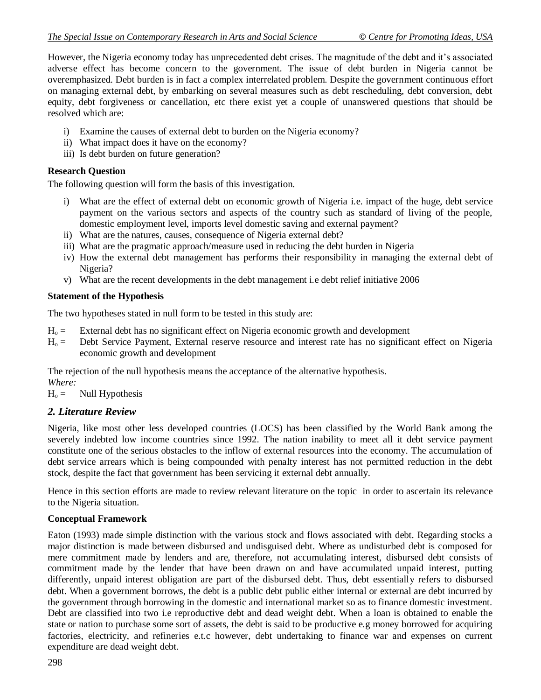However, the Nigeria economy today has unprecedented debt crises. The magnitude of the debt and it's associated adverse effect has become concern to the government. The issue of debt burden in Nigeria cannot be overemphasized. Debt burden is in fact a complex interrelated problem. Despite the government continuous effort on managing external debt, by embarking on several measures such as debt rescheduling, debt conversion, debt equity, debt forgiveness or cancellation, etc there exist yet a couple of unanswered questions that should be resolved which are:

- i) Examine the causes of external debt to burden on the Nigeria economy?
- ii) What impact does it have on the economy?
- iii) Is debt burden on future generation?

### **Research Question**

The following question will form the basis of this investigation.

- i) What are the effect of external debt on economic growth of Nigeria i.e. impact of the huge, debt service payment on the various sectors and aspects of the country such as standard of living of the people, domestic employment level, imports level domestic saving and external payment?
- ii) What are the natures, causes, consequence of Nigeria external debt?
- iii) What are the pragmatic approach/measure used in reducing the debt burden in Nigeria
- iv) How the external debt management has performs their responsibility in managing the external debt of Nigeria?
- v) What are the recent developments in the debt management i.e debt relief initiative 2006

### **Statement of the Hypothesis**

The two hypotheses stated in null form to be tested in this study are:

- $H<sub>o</sub> =$  External debt has no significant effect on Nigeria economic growth and development
- $H<sub>o</sub>$  = Debt Service Payment, External reserve resource and interest rate has no significant effect on Nigeria economic growth and development

The rejection of the null hypothesis means the acceptance of the alternative hypothesis. *Where:*

 $H<sub>o</sub> =$  Null Hypothesis

### *2. Literature Review*

Nigeria, like most other less developed countries (LOCS) has been classified by the World Bank among the severely indebted low income countries since 1992. The nation inability to meet all it debt service payment constitute one of the serious obstacles to the inflow of external resources into the economy. The accumulation of debt service arrears which is being compounded with penalty interest has not permitted reduction in the debt stock, despite the fact that government has been servicing it external debt annually.

Hence in this section efforts are made to review relevant literature on the topic in order to ascertain its relevance to the Nigeria situation.

### **Conceptual Framework**

Eaton (1993) made simple distinction with the various stock and flows associated with debt. Regarding stocks a major distinction is made between disbursed and undisguised debt. Where as undisturbed debt is composed for mere commitment made by lenders and are, therefore, not accumulating interest, disbursed debt consists of commitment made by the lender that have been drawn on and have accumulated unpaid interest, putting differently, unpaid interest obligation are part of the disbursed debt. Thus, debt essentially refers to disbursed debt. When a government borrows, the debt is a public debt public either internal or external are debt incurred by the government through borrowing in the domestic and international market so as to finance domestic investment. Debt are classified into two i.e reproductive debt and dead weight debt. When a loan is obtained to enable the state or nation to purchase some sort of assets, the debt is said to be productive e.g money borrowed for acquiring factories, electricity, and refineries e.t.c however, debt undertaking to finance war and expenses on current expenditure are dead weight debt.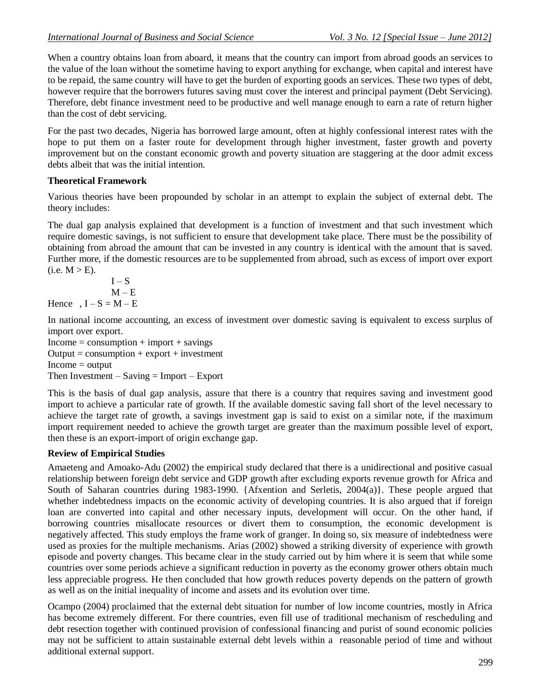When a country obtains loan from aboard, it means that the country can import from abroad goods an services to the value of the loan without the sometime having to export anything for exchange, when capital and interest have to be repaid, the same country will have to get the burden of exporting goods an services. These two types of debt, however require that the borrowers futures saving must cover the interest and principal payment (Debt Servicing). Therefore, debt finance investment need to be productive and well manage enough to earn a rate of return higher than the cost of debt servicing.

For the past two decades, Nigeria has borrowed large amount, often at highly confessional interest rates with the hope to put them on a faster route for development through higher investment, faster growth and poverty improvement but on the constant economic growth and poverty situation are staggering at the door admit excess debts albeit that was the initial intention.

# **Theoretical Framework**

Various theories have been propounded by scholar in an attempt to explain the subject of external debt. The theory includes:

The dual gap analysis explained that development is a function of investment and that such investment which require domestic savings, is not sufficient to ensure that development take place. There must be the possibility of obtaining from abroad the amount that can be invested in any country is identical with the amount that is saved. Further more, if the domestic resources are to be supplemented from abroad, such as excess of import over export  $(i.e. M > E).$ 

 $I-S$  $M - E$ Hence,  $I - S = M - E$ 

In national income accounting, an excess of investment over domestic saving is equivalent to excess surplus of import over export.

 $Income = consumption + import + savings$  $Output = consumption + export + investment$  $Income = output$ Then Investment – Saving  $=$  Import – Export

This is the basis of dual gap analysis, assure that there is a country that requires saving and investment good import to achieve a particular rate of growth. If the available domestic saving fall short of the level necessary to achieve the target rate of growth, a savings investment gap is said to exist on a similar note, if the maximum import requirement needed to achieve the growth target are greater than the maximum possible level of export, then these is an export-import of origin exchange gap.

# **Review of Empirical Studies**

Amaeteng and Amoako-Adu (2002) the empirical study declared that there is a unidirectional and positive casual relationship between foreign debt service and GDP growth after excluding exports revenue growth for Africa and South of Saharan countries during 1983-1990. {Afxention and Serletis, 2004(a)}. These people argued that whether indebtedness impacts on the economic activity of developing countries. It is also argued that if foreign loan are converted into capital and other necessary inputs, development will occur. On the other hand, if borrowing countries misallocate resources or divert them to consumption, the economic development is negatively affected. This study employs the frame work of granger. In doing so, six measure of indebtedness were used as proxies for the multiple mechanisms. Arias (2002) showed a striking diversity of experience with growth episode and poverty changes. This became clear in the study carried out by him where it is seem that while some countries over some periods achieve a significant reduction in poverty as the economy grower others obtain much less appreciable progress. He then concluded that how growth reduces poverty depends on the pattern of growth as well as on the initial inequality of income and assets and its evolution over time.

Ocampo (2004) proclaimed that the external debt situation for number of low income countries, mostly in Africa has become extremely different. For there countries, even fill use of traditional mechanism of rescheduling and debt resection together with continued provision of confessional financing and purist of sound economic policies may not be sufficient to attain sustainable external debt levels within a reasonable period of time and without additional external support.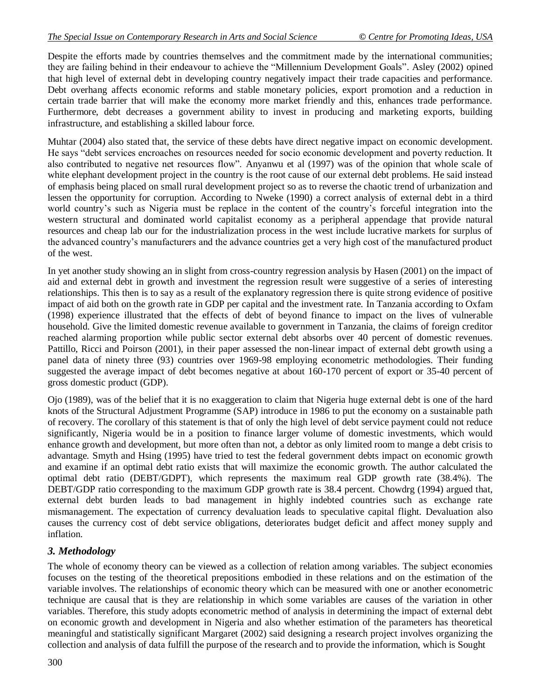Despite the efforts made by countries themselves and the commitment made by the international communities; they are failing behind in their endeavour to achieve the "Millennium Development Goals". Asley (2002) opined that high level of external debt in developing country negatively impact their trade capacities and performance. Debt overhang affects economic reforms and stable monetary policies, export promotion and a reduction in certain trade barrier that will make the economy more market friendly and this, enhances trade performance. Furthermore, debt decreases a government ability to invest in producing and marketing exports, building infrastructure, and establishing a skilled labour force.

Muhtar (2004) also stated that, the service of these debts have direct negative impact on economic development. He says "debt services encroaches on resources needed for socio economic development and poverty reduction. It also contributed to negative net resources flow". Anyanwu et al (1997) was of the opinion that whole scale of white elephant development project in the country is the root cause of our external debt problems. He said instead of emphasis being placed on small rural development project so as to reverse the chaotic trend of urbanization and lessen the opportunity for corruption. According to Nweke (1990) a correct analysis of external debt in a third world country's such as Nigeria must be replace in the content of the country's forceful integration into the western structural and dominated world capitalist economy as a peripheral appendage that provide natural resources and cheap lab our for the industrialization process in the west include lucrative markets for surplus of the advanced country's manufacturers and the advance countries get a very high cost of the manufactured product of the west.

In yet another study showing an in slight from cross-country regression analysis by Hasen (2001) on the impact of aid and external debt in growth and investment the regression result were suggestive of a series of interesting relationships. This then is to say as a result of the explanatory regression there is quite strong evidence of positive impact of aid both on the growth rate in GDP per capital and the investment rate. In Tanzania according to Oxfam (1998) experience illustrated that the effects of debt of beyond finance to impact on the lives of vulnerable household. Give the limited domestic revenue available to government in Tanzania, the claims of foreign creditor reached alarming proportion while public sector external debt absorbs over 40 percent of domestic revenues. Pattillo, Ricci and Poirson (2001), in their paper assessed the non-linear impact of external debt growth using a panel data of ninety three (93) countries over 1969-98 employing econometric methodologies. Their funding suggested the average impact of debt becomes negative at about 160-170 percent of export or 35-40 percent of gross domestic product (GDP).

Ojo (1989), was of the belief that it is no exaggeration to claim that Nigeria huge external debt is one of the hard knots of the Structural Adjustment Programme (SAP) introduce in 1986 to put the economy on a sustainable path of recovery. The corollary of this statement is that of only the high level of debt service payment could not reduce significantly, Nigeria would be in a position to finance larger volume of domestic investments, which would enhance growth and development, but more often than not, a debtor as only limited room to mange a debt crisis to advantage. Smyth and Hsing (1995) have tried to test the federal government debts impact on economic growth and examine if an optimal debt ratio exists that will maximize the economic growth. The author calculated the optimal debt ratio (DEBT/GDPT), which represents the maximum real GDP growth rate (38.4%). The DEBT/GDP ratio corresponding to the maximum GDP growth rate is 38.4 percent. Chowdrg (1994) argued that, external debt burden leads to bad management in highly indebted countries such as exchange rate mismanagement. The expectation of currency devaluation leads to speculative capital flight. Devaluation also causes the currency cost of debt service obligations, deteriorates budget deficit and affect money supply and inflation.

# *3. Methodology*

The whole of economy theory can be viewed as a collection of relation among variables. The subject economies focuses on the testing of the theoretical prepositions embodied in these relations and on the estimation of the variable involves. The relationships of economic theory which can be measured with one or another econometric technique are causal that is they are relationship in which some variables are causes of the variation in other variables. Therefore, this study adopts econometric method of analysis in determining the impact of external debt on economic growth and development in Nigeria and also whether estimation of the parameters has theoretical meaningful and statistically significant Margaret (2002) said designing a research project involves organizing the collection and analysis of data fulfill the purpose of the research and to provide the information, which is Sought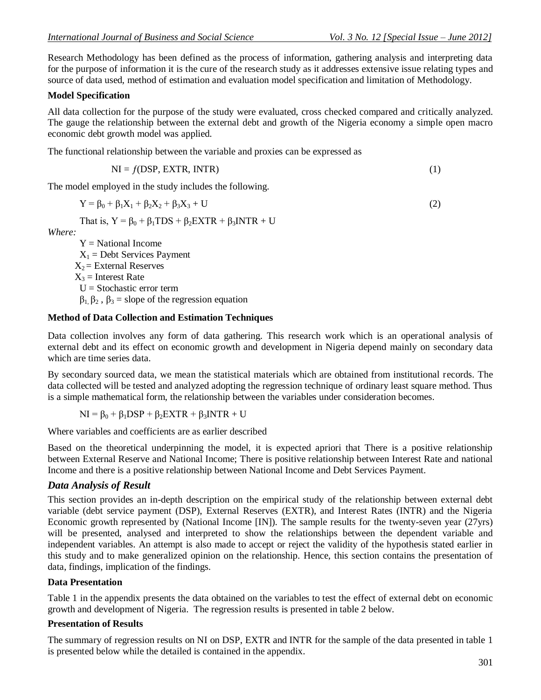Research Methodology has been defined as the process of information, gathering analysis and interpreting data for the purpose of information it is the cure of the research study as it addresses extensive issue relating types and source of data used, method of estimation and evaluation model specification and limitation of Methodology.

#### **Model Specification**

All data collection for the purpose of the study were evaluated, cross checked compared and critically analyzed. The gauge the relationship between the external debt and growth of the Nigeria economy a simple open macro economic debt growth model was applied.

The functional relationship between the variable and proxies can be expressed as

$$
NI = f(DSP, EXTR, INTR)
$$
 (1)

The model employed in the study includes the following.

$$
Y = \beta_0 + \beta_1 X_1 + \beta_2 X_2 + \beta_3 X_3 + U \tag{2}
$$

That is,  $Y = \beta_0 + \beta_1 TDS + \beta_2 EXTR + \beta_3 INTR + U$ 

*Where:*

 $Y = National Income$  $X_1$  = Debt Services Payment  $X_2$  = External Reserves  $X_3$  = Interest Rate  $U =$ Stochastic error term  $β_1, β_2, β_3$  = slope of the regression equation

#### **Method of Data Collection and Estimation Techniques**

Data collection involves any form of data gathering. This research work which is an operational analysis of external debt and its effect on economic growth and development in Nigeria depend mainly on secondary data which are time series data.

By secondary sourced data, we mean the statistical materials which are obtained from institutional records. The data collected will be tested and analyzed adopting the regression technique of ordinary least square method. Thus is a simple mathematical form, the relationship between the variables under consideration becomes.

$$
NI = \beta_0 + \beta_1 DSP + \beta_2 EXTR + \beta_3 INTR + U
$$

Where variables and coefficients are as earlier described

Based on the theoretical underpinning the model, it is expected apriori that There is a positive relationship between External Reserve and National Income; There is positive relationship between Interest Rate and national Income and there is a positive relationship between National Income and Debt Services Payment.

### *Data Analysis of Result*

This section provides an in-depth description on the empirical study of the relationship between external debt variable (debt service payment (DSP), External Reserves (EXTR), and Interest Rates (INTR) and the Nigeria Economic growth represented by (National Income [IN]). The sample results for the twenty-seven year (27yrs) will be presented, analysed and interpreted to show the relationships between the dependent variable and independent variables. An attempt is also made to accept or reject the validity of the hypothesis stated earlier in this study and to make generalized opinion on the relationship. Hence, this section contains the presentation of data, findings, implication of the findings.

#### **Data Presentation**

Table 1 in the appendix presents the data obtained on the variables to test the effect of external debt on economic growth and development of Nigeria. The regression results is presented in table 2 below.

#### **Presentation of Results**

The summary of regression results on NI on DSP, EXTR and INTR for the sample of the data presented in table 1 is presented below while the detailed is contained in the appendix.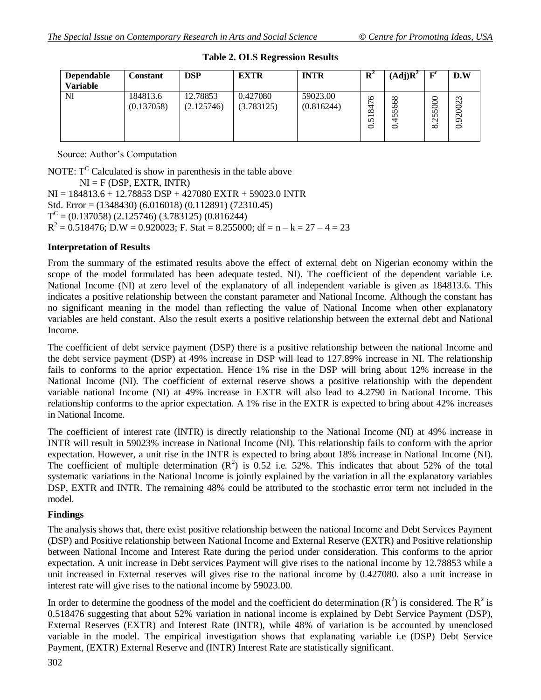| <b>Dependable</b><br><b>Variable</b> | Constant               | <b>DSP</b>             | <b>EXTR</b>            | <b>INTR</b>            | $\mathbf{R}^2$                                       | (Adj)R <sup>2</sup>              | F <sup>c</sup>                                      | D.W                |
|--------------------------------------|------------------------|------------------------|------------------------|------------------------|------------------------------------------------------|----------------------------------|-----------------------------------------------------|--------------------|
| NI                                   | 184813.6<br>(0.137058) | 12.78853<br>(2.125746) | 0.427080<br>(3.783125) | 59023.00<br>(0.816244) | $\circ$<br>∞<br>$\overline{\phantom{0}}$<br>$\Omega$ | 668<br>$\Omega$<br>n<br>त्त<br>0 | 5000<br>$\sqrt{2}$<br>$\mathbf{\Omega}$<br>$\infty$ | $\sim$<br>$\sigma$ |

**Table 2. OLS Regression Results**

Source: Author's Computation

NOTE:  $T^C$  Calculated is show in parenthesis in the table above  $NI = F(DSP, EXTR, INTR)$ NI = 184813.6 + 12.78853 DSP + 427080 EXTR + 59023.0 INTR Std. Error = (1348430) (6.016018) (0.112891) (72310.45)  $T^{C} = (0.137058) (2.125746) (3.783125) (0.816244)$  $R^2 = 0.518476$ ; D.W = 0.920023; F. Stat = 8.255000; df = n – k = 27 – 4 = 23

### **Interpretation of Results**

From the summary of the estimated results above the effect of external debt on Nigerian economy within the scope of the model formulated has been adequate tested. NI). The coefficient of the dependent variable i.e. National Income (NI) at zero level of the explanatory of all independent variable is given as 184813.6. This indicates a positive relationship between the constant parameter and National Income. Although the constant has no significant meaning in the model than reflecting the value of National Income when other explanatory variables are held constant. Also the result exerts a positive relationship between the external debt and National Income.

The coefficient of debt service payment (DSP) there is a positive relationship between the national Income and the debt service payment (DSP) at 49% increase in DSP will lead to 127.89% increase in NI. The relationship fails to conforms to the aprior expectation. Hence 1% rise in the DSP will bring about 12% increase in the National Income (NI). The coefficient of external reserve shows a positive relationship with the dependent variable national Income (NI) at 49% increase in EXTR will also lead to 4.2790 in National Income. This relationship conforms to the aprior expectation. A 1% rise in the EXTR is expected to bring about 42% increases in National Income.

The coefficient of interest rate (INTR) is directly relationship to the National Income (NI) at 49% increase in INTR will result in 59023% increase in National Income (NI). This relationship fails to conform with the aprior expectation. However, a unit rise in the INTR is expected to bring about 18% increase in National Income (NI). The coefficient of multiple determination  $(R^2)$  is 0.52 i.e. 52%. This indicates that about 52% of the total systematic variations in the National Income is jointly explained by the variation in all the explanatory variables DSP, EXTR and INTR. The remaining 48% could be attributed to the stochastic error term not included in the model.

# **Findings**

The analysis shows that, there exist positive relationship between the national Income and Debt Services Payment (DSP) and Positive relationship between National Income and External Reserve (EXTR) and Positive relationship between National Income and Interest Rate during the period under consideration. This conforms to the aprior expectation. A unit increase in Debt services Payment will give rises to the national income by 12.78853 while a unit increased in External reserves will gives rise to the national income by 0.427080. also a unit increase in interest rate will give rises to the national income by 59023.00.

In order to determine the goodness of the model and the coefficient do determination  $(R^2)$  is considered. The  $R^2$  is 0.518476 suggesting that about 52% variation in national income is explained by Debt Service Payment (DSP), External Reserves (EXTR) and Interest Rate (INTR), while 48% of variation is be accounted by unenclosed variable in the model. The empirical investigation shows that explanating variable i.e (DSP) Debt Service Payment, (EXTR) External Reserve and (INTR) Interest Rate are statistically significant.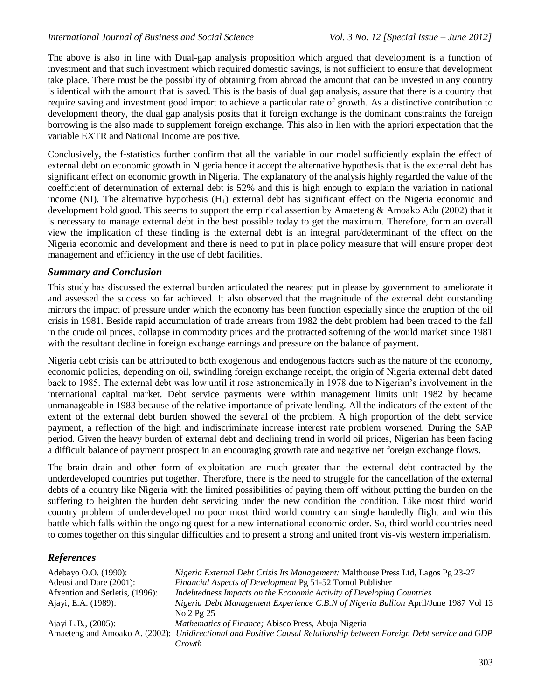The above is also in line with Dual-gap analysis proposition which argued that development is a function of investment and that such investment which required domestic savings, is not sufficient to ensure that development take place. There must be the possibility of obtaining from abroad the amount that can be invested in any country is identical with the amount that is saved. This is the basis of dual gap analysis, assure that there is a country that require saving and investment good import to achieve a particular rate of growth. As a distinctive contribution to development theory, the dual gap analysis posits that it foreign exchange is the dominant constraints the foreign borrowing is the also made to supplement foreign exchange. This also in lien with the apriori expectation that the variable EXTR and National Income are positive.

Conclusively, the f-statistics further confirm that all the variable in our model sufficiently explain the effect of external debt on economic growth in Nigeria hence it accept the alternative hypothesis that is the external debt has significant effect on economic growth in Nigeria. The explanatory of the analysis highly regarded the value of the coefficient of determination of external debt is 52% and this is high enough to explain the variation in national income (NI). The alternative hypothesis  $(H_1)$  external debt has significant effect on the Nigeria economic and development hold good. This seems to support the empirical assertion by Amaeteng & Amoako Adu (2002) that it is necessary to manage external debt in the best possible today to get the maximum. Therefore, form an overall view the implication of these finding is the external debt is an integral part/determinant of the effect on the Nigeria economic and development and there is need to put in place policy measure that will ensure proper debt management and efficiency in the use of debt facilities.

### *Summary and Conclusion*

This study has discussed the external burden articulated the nearest put in please by government to ameliorate it and assessed the success so far achieved. It also observed that the magnitude of the external debt outstanding mirrors the impact of pressure under which the economy has been function especially since the eruption of the oil crisis in 1981. Beside rapid accumulation of trade arrears from 1982 the debt problem had been traced to the fall in the crude oil prices, collapse in commodity prices and the protracted softening of the would market since 1981 with the resultant decline in foreign exchange earnings and pressure on the balance of payment.

Nigeria debt crisis can be attributed to both exogenous and endogenous factors such as the nature of the economy, economic policies, depending on oil, swindling foreign exchange receipt, the origin of Nigeria external debt dated back to 1985. The external debt was low until it rose astronomically in 1978 due to Nigerian's involvement in the international capital market. Debt service payments were within management limits unit 1982 by became unmanageable in 1983 because of the relative importance of private lending. All the indicators of the extent of the extent of the external debt burden showed the several of the problem. A high proportion of the debt service payment, a reflection of the high and indiscriminate increase interest rate problem worsened. During the SAP period. Given the heavy burden of external debt and declining trend in world oil prices, Nigerian has been facing a difficult balance of payment prospect in an encouraging growth rate and negative net foreign exchange flows.

The brain drain and other form of exploitation are much greater than the external debt contracted by the underdeveloped countries put together. Therefore, there is the need to struggle for the cancellation of the external debts of a country like Nigeria with the limited possibilities of paying them off without putting the burden on the suffering to heighten the burden debt servicing under the new condition the condition. Like most third world country problem of underdeveloped no poor most third world country can single handedly flight and win this battle which falls within the ongoing quest for a new international economic order. So, third world countries need to comes together on this singular difficulties and to present a strong and united front vis-vis western imperialism.

# *References*

| Adebayo O.O. (1990):            | Nigeria External Debt Crisis Its Management: Malthouse Press Ltd, Lagos Pg 23-27                                    |
|---------------------------------|---------------------------------------------------------------------------------------------------------------------|
| Adeusi and Dare (2001):         | Financial Aspects of Development Pg 51-52 Tomol Publisher                                                           |
| Afxention and Serletis, (1996): | Indebtedness Impacts on the Economic Activity of Developing Countries                                               |
| Ajayi, E.A. (1989):             | Nigeria Debt Management Experience C.B.N of Nigeria Bullion April/June 1987 Vol 13                                  |
|                                 | No 2 Pg 25                                                                                                          |
| Ajayi L.B., (2005):             | Mathematics of Finance; Abisco Press, Abuja Nigeria                                                                 |
|                                 | Amaeteng and Amoako A. (2002): Unidirectional and Positive Causal Relationship between Foreign Debt service and GDP |
|                                 | Growth                                                                                                              |